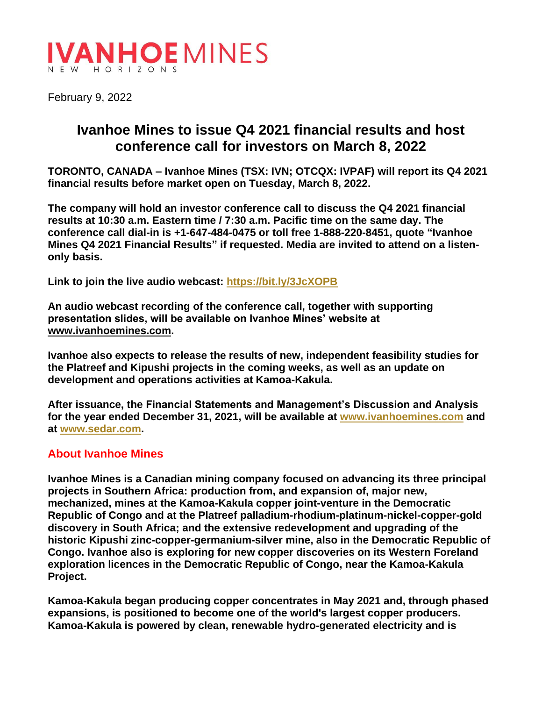

February 9, 2022

## **Ivanhoe Mines to issue Q4 2021 financial results and host conference call for investors on March 8, 2022**

**TORONTO, CANADA – Ivanhoe Mines (TSX: IVN; OTCQX: IVPAF) will report its Q4 2021 financial results before market open on Tuesday, March 8, 2022.** 

**The company will hold an investor conference call to discuss the Q4 2021 financial results at 10:30 a.m. Eastern time / 7:30 a.m. Pacific time on the same day. The conference call dial-in is +1-647-484-0475 or toll free 1-888-220-8451, quote "Ivanhoe Mines Q4 2021 Financial Results" if requested. Media are invited to attend on a listenonly basis.**

**Link to join the live audio webcast:<https://bit.ly/3JcXOPB>**

**An audio webcast recording of the conference call, together with supporting presentation slides, will be available on Ivanhoe Mines' website at [www.ivanhoemines.com.](http://www.ivanhoemines.com/)**

**Ivanhoe also expects to release the results of new, independent feasibility studies for the Platreef and Kipushi projects in the coming weeks, as well as an update on development and operations activities at Kamoa-Kakula.**

**After issuance, the Financial Statements and Management's Discussion and Analysis for the year ended December 31, 2021, will be available at [www.ivanhoemines.com](http://www.ivanhoemines.com/) and at www.sedar.com.**

## **About Ivanhoe Mines**

**Ivanhoe Mines is a Canadian mining company focused on advancing its three principal projects in Southern Africa: production from, and expansion of, major new, mechanized, mines at the Kamoa-Kakula copper joint-venture in the Democratic Republic of Congo and at the Platreef palladium-rhodium-platinum-nickel-copper-gold discovery in South Africa; and the extensive redevelopment and upgrading of the historic Kipushi zinc-copper-germanium-silver mine, also in the Democratic Republic of Congo. Ivanhoe also is exploring for new copper discoveries on its Western Foreland exploration licences in the Democratic Republic of Congo, near the Kamoa-Kakula Project.**

**Kamoa-Kakula began producing copper concentrates in May 2021 and, through phased expansions, is positioned to become one of the world's largest copper producers. Kamoa-Kakula is powered by clean, renewable hydro-generated electricity and is**